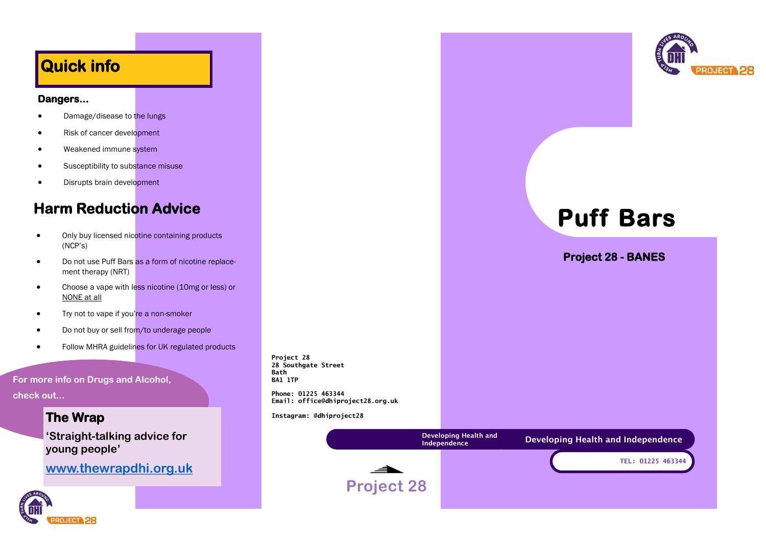# **Quick info**

#### **Dangers...**

- Damage/disease to the lungs
- Risk of cancer development
- Weakened immune system
- Susceptibility to substance misuse
- Disrupts brain development

# **Harm Reduction Advice**

- Only buy licensed nicotine containing products (NCP's)
- Do not use Puff Bars as a form of nicotine replacement therapy (NRT)
- Choose a vape with less nicotine (10mg or less) or NONE at all
- Try not to vape if you're a non-smoker
- Do not buy or sell from/to underage people
- Follow MHRA guidelines for UK regulated products

**For more info on Drugs and Alcohol,** 

**check out...**

## **The Wrap**

**'Straight-talking advice for young people'**

**[www.thewrapdhi.org.uk](http://www.thewrapdhi.org.uk/)**



**Project 28 28 Southgate Street Bath BA1 1TP**

**Phone: 01225 463344 Email: office@dhiproject28.org.uk**

**Instagram: @dhiproject28**





# **Puff Bars**

**Project 28 - BANES**